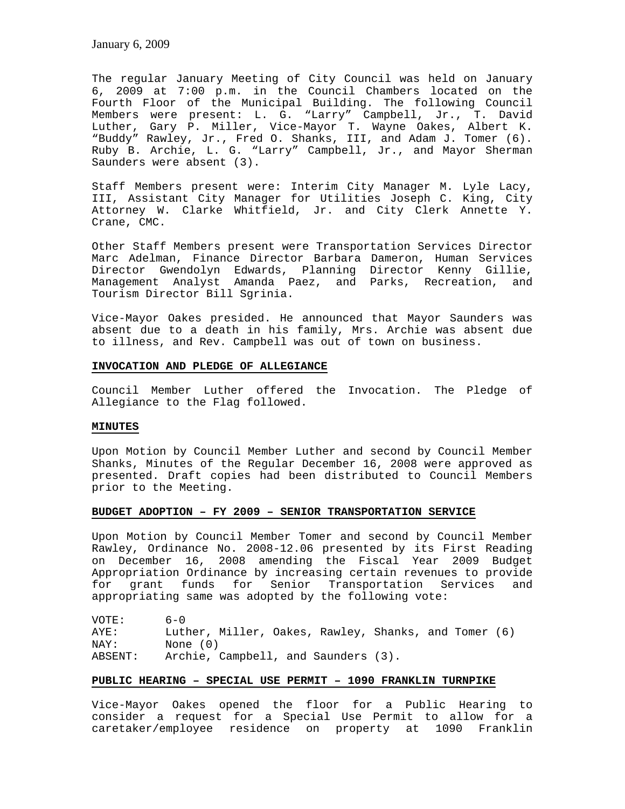The regular January Meeting of City Council was held on January 6, 2009 at 7:00 p.m. in the Council Chambers located on the Fourth Floor of the Municipal Building. The following Council Members were present: L. G. "Larry" Campbell, Jr., T. David Luther, Gary P. Miller, Vice-Mayor T. Wayne Oakes, Albert K. "Buddy" Rawley, Jr., Fred O. Shanks, III, and Adam J. Tomer (6). Ruby B. Archie, L. G. "Larry" Campbell, Jr., and Mayor Sherman Saunders were absent (3).

Staff Members present were: Interim City Manager M. Lyle Lacy, III, Assistant City Manager for Utilities Joseph C. King, City Attorney W. Clarke Whitfield, Jr. and City Clerk Annette Y. Crane, CMC.

Other Staff Members present were Transportation Services Director Marc Adelman, Finance Director Barbara Dameron, Human Services Director Gwendolyn Edwards, Planning Director Kenny Gillie, Management Analyst Amanda Paez, and Parks, Recreation, and Tourism Director Bill Sgrinia.

Vice-Mayor Oakes presided. He announced that Mayor Saunders was absent due to a death in his family, Mrs. Archie was absent due to illness, and Rev. Campbell was out of town on business.

#### **INVOCATION AND PLEDGE OF ALLEGIANCE**

Council Member Luther offered the Invocation. The Pledge of Allegiance to the Flag followed.

### **MINUTES**

Upon Motion by Council Member Luther and second by Council Member Shanks, Minutes of the Regular December 16, 2008 were approved as presented. Draft copies had been distributed to Council Members prior to the Meeting.

### **BUDGET ADOPTION – FY 2009 – SENIOR TRANSPORTATION SERVICE**

Upon Motion by Council Member Tomer and second by Council Member Rawley, Ordinance No. 2008-12.06 presented by its First Reading on December 16, 2008 amending the Fiscal Year 2009 Budget Appropriation Ordinance by increasing certain revenues to provide for grant funds for Senior Transportation Services and appropriating same was adopted by the following vote:

VOTE: 6-0 AYE: Luther, Miller, Oakes, Rawley, Shanks, and Tomer (6) NAY: None (0)<br>ABSENT: Archie, ( Archie, Campbell, and Saunders (3).

### **PUBLIC HEARING – SPECIAL USE PERMIT – 1090 FRANKLIN TURNPIKE**

Vice-Mayor Oakes opened the floor for a Public Hearing to consider a request for a Special Use Permit to allow for a caretaker/employee residence on property at 1090 Franklin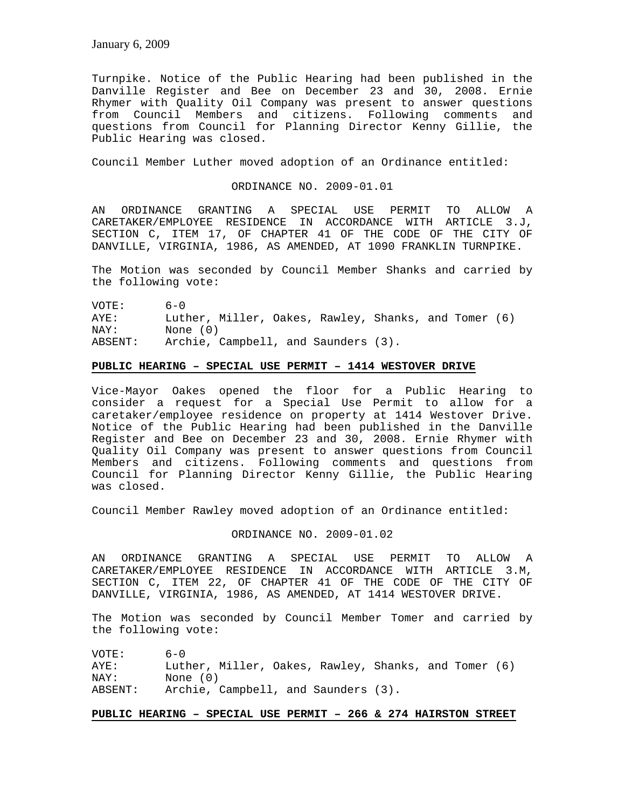Turnpike. Notice of the Public Hearing had been published in the Danville Register and Bee on December 23 and 30, 2008. Ernie Rhymer with Quality Oil Company was present to answer questions from Council Members and citizens. Following comments and questions from Council for Planning Director Kenny Gillie, the Public Hearing was closed.

Council Member Luther moved adoption of an Ordinance entitled:

ORDINANCE NO. 2009-01.01

AN ORDINANCE GRANTING A SPECIAL USE PERMIT TO ALLOW A CARETAKER/EMPLOYEE RESIDENCE IN ACCORDANCE WITH ARTICLE 3.J, SECTION C, ITEM 17, OF CHAPTER 41 OF THE CODE OF THE CITY OF DANVILLE, VIRGINIA, 1986, AS AMENDED, AT 1090 FRANKLIN TURNPIKE.

The Motion was seconded by Council Member Shanks and carried by the following vote:

VOTE: 6-0 AYE: Luther, Miller, Oakes, Rawley, Shanks, and Tomer (6) NAY: None (0) ABSENT: Archie, Campbell, and Saunders (3).

### **PUBLIC HEARING – SPECIAL USE PERMIT – 1414 WESTOVER DRIVE**

Vice-Mayor Oakes opened the floor for a Public Hearing to consider a request for a Special Use Permit to allow for a caretaker/employee residence on property at 1414 Westover Drive. Notice of the Public Hearing had been published in the Danville Register and Bee on December 23 and 30, 2008. Ernie Rhymer with Quality Oil Company was present to answer questions from Council Members and citizens. Following comments and questions from Council for Planning Director Kenny Gillie, the Public Hearing was closed.

Council Member Rawley moved adoption of an Ordinance entitled:

ORDINANCE NO. 2009-01.02

AN ORDINANCE GRANTING A SPECIAL USE PERMIT TO ALLOW A CARETAKER/EMPLOYEE RESIDENCE IN ACCORDANCE WITH ARTICLE 3.M, SECTION C, ITEM 22, OF CHAPTER 41 OF THE CODE OF THE CITY OF DANVILLE, VIRGINIA, 1986, AS AMENDED, AT 1414 WESTOVER DRIVE.

The Motion was seconded by Council Member Tomer and carried by the following vote:

| VOTE:   | $6 - 0$                                              |
|---------|------------------------------------------------------|
| AYE:    | Luther, Miller, Oakes, Rawley, Shanks, and Tomer (6) |
| NAY:    | None (0)                                             |
| ABSENT: | Archie, Campbell, and Saunders (3).                  |

### **PUBLIC HEARING – SPECIAL USE PERMIT – 266 & 274 HAIRSTON STREET**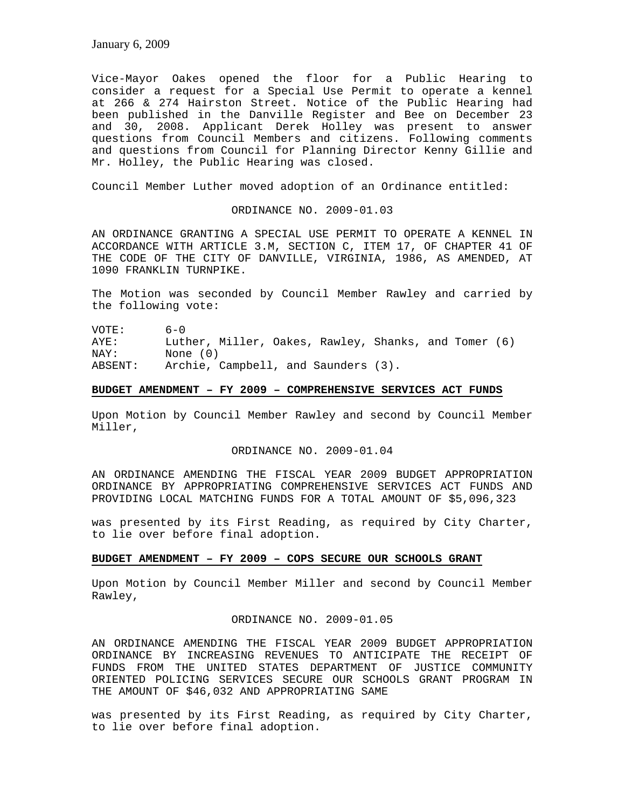Vice-Mayor Oakes opened the floor for a Public Hearing to consider a request for a Special Use Permit to operate a kennel at 266 & 274 Hairston Street. Notice of the Public Hearing had been published in the Danville Register and Bee on December 23 and 30, 2008. Applicant Derek Holley was present to answer questions from Council Members and citizens. Following comments and questions from Council for Planning Director Kenny Gillie and Mr. Holley, the Public Hearing was closed.

Council Member Luther moved adoption of an Ordinance entitled:

#### ORDINANCE NO. 2009-01.03

AN ORDINANCE GRANTING A SPECIAL USE PERMIT TO OPERATE A KENNEL IN ACCORDANCE WITH ARTICLE 3.M, SECTION C, ITEM 17, OF CHAPTER 41 OF THE CODE OF THE CITY OF DANVILLE, VIRGINIA, 1986, AS AMENDED, AT 1090 FRANKLIN TURNPIKE.

The Motion was seconded by Council Member Rawley and carried by the following vote:

VOTE: 6-0 AYE: Luther, Miller, Oakes, Rawley, Shanks, and Tomer (6) NAY: None (0) ABSENT: Archie, Campbell, and Saunders (3).

#### **BUDGET AMENDMENT – FY 2009 – COMPREHENSIVE SERVICES ACT FUNDS**

Upon Motion by Council Member Rawley and second by Council Member Miller,

### ORDINANCE NO. 2009-01.04

AN ORDINANCE AMENDING THE FISCAL YEAR 2009 BUDGET APPROPRIATION ORDINANCE BY APPROPRIATING COMPREHENSIVE SERVICES ACT FUNDS AND PROVIDING LOCAL MATCHING FUNDS FOR A TOTAL AMOUNT OF \$5,096,323

was presented by its First Reading, as required by City Charter, to lie over before final adoption.

### **BUDGET AMENDMENT – FY 2009 – COPS SECURE OUR SCHOOLS GRANT**

Upon Motion by Council Member Miller and second by Council Member Rawley,

# ORDINANCE NO. 2009-01.05

AN ORDINANCE AMENDING THE FISCAL YEAR 2009 BUDGET APPROPRIATION ORDINANCE BY INCREASING REVENUES TO ANTICIPATE THE RECEIPT OF FUNDS FROM THE UNITED STATES DEPARTMENT OF JUSTICE COMMUNITY ORIENTED POLICING SERVICES SECURE OUR SCHOOLS GRANT PROGRAM IN THE AMOUNT OF \$46,032 AND APPROPRIATING SAME

was presented by its First Reading, as required by City Charter, to lie over before final adoption.